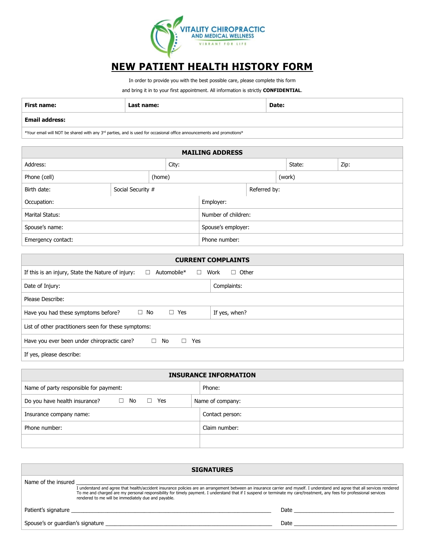

# **NEW PATIENT HEALTH HISTORY FORM**

In order to provide you with the best possible care, please complete this form

and bring it in to your first appointment. All information is strictly **CONFIDENTIAL**.

| First<br>------<br>те | name:<br>$\sim$ $\sim$ $\sim$ $\sim$ $\sim$ $\sim$ | Date: |
|-----------------------|----------------------------------------------------|-------|
| $\sim$                |                                                    |       |

#### **Email address:**

 $*$ Your email will NOT be shared with any 3<sup>rd</sup> parties, and is used for occasional office announcements and promotions $*$ 

| <b>MAILING ADDRESS</b> |                   |        |               |                     |        |  |        |      |
|------------------------|-------------------|--------|---------------|---------------------|--------|--|--------|------|
| Address:               |                   |        | City:         |                     |        |  | State: | Zip: |
| Phone (cell)           |                   | (home) |               |                     | (work) |  |        |      |
| Birth date:            | Social Security # |        |               | Referred by:        |        |  |        |      |
| Occupation:            |                   |        |               | Employer:           |        |  |        |      |
| Marital Status:        |                   |        |               | Number of children: |        |  |        |      |
| Spouse's name:         |                   |        |               | Spouse's employer:  |        |  |        |      |
| Emergency contact:     |                   |        | Phone number: |                     |        |  |        |      |

| <b>CURRENT COMPLAINTS</b>                                                                        |  |  |  |  |
|--------------------------------------------------------------------------------------------------|--|--|--|--|
| Automobile*<br>Work<br>Other<br>If this is an injury, State the Nature of injury:<br>П<br>$\Box$ |  |  |  |  |
| Complaints:<br>Date of Injury:                                                                   |  |  |  |  |
| Please Describe:                                                                                 |  |  |  |  |
| Have you had these symptoms before?<br>$\Box$ Yes<br>If yes, when?<br>$\Box$ No                  |  |  |  |  |
| List of other practitioners seen for these symptoms:                                             |  |  |  |  |
| Have you ever been under chiropractic care?<br>No<br>Yes<br>□<br>$\Box$                          |  |  |  |  |
| If yes, please describe:                                                                         |  |  |  |  |

| <b>INSURANCE INFORMATION</b>                                                  |                  |  |  |  |
|-------------------------------------------------------------------------------|------------------|--|--|--|
| Name of party responsible for payment:                                        | Phone:           |  |  |  |
| Do you have health insurance?<br>$\Box$ No<br>Yes<br>$\overline{\phantom{a}}$ | Name of company: |  |  |  |
| Insurance company name:                                                       | Contact person:  |  |  |  |
| Phone number:                                                                 | Claim number:    |  |  |  |
|                                                                               |                  |  |  |  |

| <b>SIGNATURES</b>   |                                                                                                                                                                                                                                                                                                                                                                                                               |                                                                                                                                                                                                                                |  |  |
|---------------------|---------------------------------------------------------------------------------------------------------------------------------------------------------------------------------------------------------------------------------------------------------------------------------------------------------------------------------------------------------------------------------------------------------------|--------------------------------------------------------------------------------------------------------------------------------------------------------------------------------------------------------------------------------|--|--|
| Name of the insured | I understand and agree that health/accident insurance policies are an arrangement between an insurance carrier and myself. I understand and agree that all services rendered<br>To me and charged are my personal responsibility for timely payment. I understand that if I suspend or terminate my care/treatment, any fees for professional services<br>rendered to me will be immediately due and payable. |                                                                                                                                                                                                                                |  |  |
|                     |                                                                                                                                                                                                                                                                                                                                                                                                               | Date and the contract of the contract of the contract of the contract of the contract of the contract of the contract of the contract of the contract of the contract of the contract of the contract of the contract of the c |  |  |
|                     | Spouse's or quardian's signature states and the state of the state of the state of the state of the state of the state of the state of the state of the state of the state of the state of the state of the state of the state                                                                                                                                                                                | Date and the contract of the contract of the contract of the contract of the contract of the contract of the contract of the contract of the contract of the contract of the contract of the contract of the contract of the c |  |  |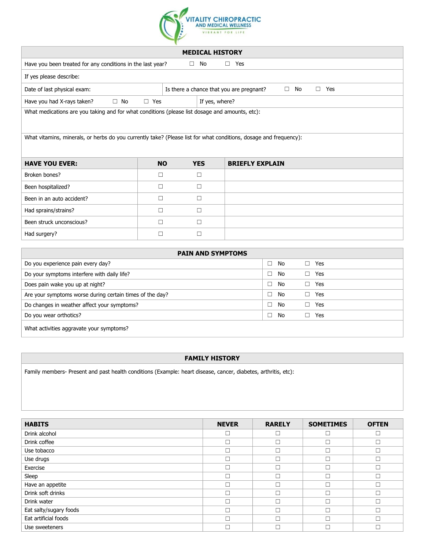

| <b>MEDICAL HISTORY</b>                                                                                            |                                                                    |  |                |                        |  |  |
|-------------------------------------------------------------------------------------------------------------------|--------------------------------------------------------------------|--|----------------|------------------------|--|--|
| Have you been treated for any conditions in the last year?<br>No<br>Yes<br>$\Box$<br>$\Box$                       |                                                                    |  |                |                        |  |  |
| If yes please describe:                                                                                           |                                                                    |  |                |                        |  |  |
| Date of last physical exam:                                                                                       | Is there a chance that you are pregnant?<br>No<br>$\Box$ Yes<br>П. |  |                |                        |  |  |
| Have you had X-rays taken?<br>$\Box$ No                                                                           | $\Box$ Yes                                                         |  | If yes, where? |                        |  |  |
| What medications are you taking and for what conditions (please list dosage and amounts, etc):                    |                                                                    |  |                |                        |  |  |
|                                                                                                                   |                                                                    |  |                |                        |  |  |
| What vitamins, minerals, or herbs do you currently take? (Please list for what conditions, dosage and frequency): |                                                                    |  |                |                        |  |  |
|                                                                                                                   |                                                                    |  |                |                        |  |  |
| <b>HAVE YOU EVER:</b>                                                                                             | <b>NO</b>                                                          |  | <b>YES</b>     | <b>BRIEFLY EXPLAIN</b> |  |  |
| Broken bones?                                                                                                     | П                                                                  |  | П              |                        |  |  |
| Been hospitalized?                                                                                                | П                                                                  |  | П              |                        |  |  |
| Been in an auto accident?                                                                                         | П                                                                  |  | П              |                        |  |  |
| Had sprains/strains?                                                                                              | П                                                                  |  | ப              |                        |  |  |
| Been struck unconscious?                                                                                          | П                                                                  |  | П              |                        |  |  |
| Had surgery?                                                                                                      | П                                                                  |  | П              |                        |  |  |
|                                                                                                                   |                                                                    |  |                |                        |  |  |

| <b>PAIN AND SYMPTOMS</b>                                 |              |           |  |  |
|----------------------------------------------------------|--------------|-----------|--|--|
| Do you experience pain every day?                        | No<br>$\Box$ | Yes<br>П. |  |  |
| Do your symptoms interfere with daily life?              | No<br>П      | Yes       |  |  |
| Does pain wake you up at night?                          | No<br>n.     | Yes<br>П. |  |  |
| Are your symptoms worse during certain times of the day? | No<br>n.     | Yes       |  |  |
| Do changes in weather affect your symptoms?              | No<br>$\Box$ | Yes       |  |  |
| Do you wear orthotics?                                   | No<br>$\Box$ | Yes       |  |  |
| What activities aggravate your symptoms?                 |              |           |  |  |

#### **FAMILY HISTORY**

Family members- Present and past health conditions (Example: heart disease, cancer, diabetes, arthritis, etc):

| <b>HABITS</b>          | <b>NEVER</b> | <b>RARELY</b> | <b>SOMETIMES</b> | <b>OFTEN</b> |
|------------------------|--------------|---------------|------------------|--------------|
| Drink alcohol          |              |               |                  | П            |
| Drink coffee           |              |               |                  | П            |
| Use tobacco            |              |               |                  | г            |
| Use drugs              |              |               |                  | П            |
| Exercise               |              |               |                  | Г            |
| Sleep                  |              |               |                  | П            |
| Have an appetite       |              |               |                  | П            |
| Drink soft drinks      |              |               |                  | П            |
| Drink water            | П            |               |                  | П            |
| Eat salty/sugary foods |              |               |                  | г            |
| Eat artificial foods   |              |               |                  | П            |
| Use sweeteners         |              |               |                  | г            |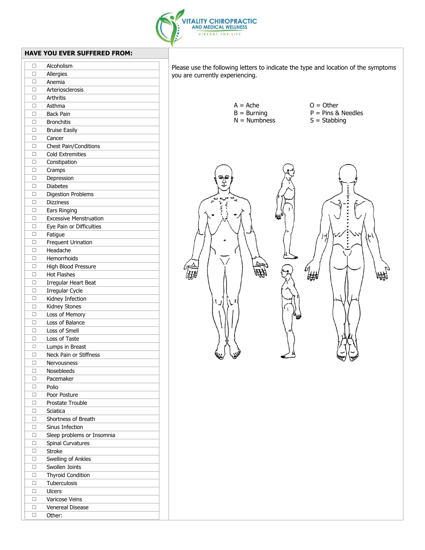

you are currently experiencing.

| п<br>Allergies<br>п<br>Anemia<br>Arteriosclerosis<br>п<br>п<br>Arthritis<br>п<br>Asthma<br>П<br><b>Back Pain</b><br>$\Box$<br><b>Bronchitis</b><br>□<br><b>Bruise Easily</b><br>□<br>Cancer<br>Chest Pain/Conditions<br>□<br>□<br><b>Cold Extremities</b><br>$\Box$<br>Constipation<br>п<br>Cramps<br>□<br>Depression<br><b>Diabetes</b><br>□<br>□<br><b>Digestion Problems</b><br>п<br><b>Dizziness</b><br>□<br>Ears Ringing<br><b>Excessive Menstruation</b><br>п<br>Eye Pain or Difficulties<br>п<br>□<br>Fatigue<br>□<br><b>Frequent Urination</b><br>□<br>Headache<br>□<br>Hemorrhoids<br>High Blood Pressure<br>□<br>$\Box$<br><b>Hot Flashes</b><br>П<br>Irregular Heart Beat<br>□<br>Irregular Cycle<br>п<br>Kidney Infection<br>□<br>Kidney Stones<br>п<br>Loss of Memory<br>Loss of Balance<br>□<br>п<br>Loss of Smell<br>□<br>Loss of Taste<br>□<br>Lumps in Breast<br>Neck Pain or Stiffness<br>□<br>□<br>Nervousness<br>Nosebleeds<br>□<br>□<br>Pacemaker<br>п<br>Polio<br>п<br>Poor Posture<br>Prostate Trouble<br>□<br>Sciatica<br>□<br>Shortness of Breath<br>□<br>Sinus Infection<br>□<br>п<br>Sleep problems or Insomnia<br>□<br>Spinal Curvatures<br><b>Stroke</b><br>п<br>Swelling of Ankles<br>□<br>Swollen Joints<br>□<br>□<br><b>Thyroid Condition</b><br>□<br>Tuberculosis<br>□<br>Ulcers<br>Varicose Veins<br>□<br>Venereal Disease<br>□<br>п<br>Other: | п | Alcoholism |
|----------------------------------------------------------------------------------------------------------------------------------------------------------------------------------------------------------------------------------------------------------------------------------------------------------------------------------------------------------------------------------------------------------------------------------------------------------------------------------------------------------------------------------------------------------------------------------------------------------------------------------------------------------------------------------------------------------------------------------------------------------------------------------------------------------------------------------------------------------------------------------------------------------------------------------------------------------------------------------------------------------------------------------------------------------------------------------------------------------------------------------------------------------------------------------------------------------------------------------------------------------------------------------------------------------------------------------------------------------------------------------|---|------------|
|                                                                                                                                                                                                                                                                                                                                                                                                                                                                                                                                                                                                                                                                                                                                                                                                                                                                                                                                                                                                                                                                                                                                                                                                                                                                                                                                                                                  |   |            |
|                                                                                                                                                                                                                                                                                                                                                                                                                                                                                                                                                                                                                                                                                                                                                                                                                                                                                                                                                                                                                                                                                                                                                                                                                                                                                                                                                                                  |   |            |
|                                                                                                                                                                                                                                                                                                                                                                                                                                                                                                                                                                                                                                                                                                                                                                                                                                                                                                                                                                                                                                                                                                                                                                                                                                                                                                                                                                                  |   |            |
|                                                                                                                                                                                                                                                                                                                                                                                                                                                                                                                                                                                                                                                                                                                                                                                                                                                                                                                                                                                                                                                                                                                                                                                                                                                                                                                                                                                  |   |            |
|                                                                                                                                                                                                                                                                                                                                                                                                                                                                                                                                                                                                                                                                                                                                                                                                                                                                                                                                                                                                                                                                                                                                                                                                                                                                                                                                                                                  |   |            |
|                                                                                                                                                                                                                                                                                                                                                                                                                                                                                                                                                                                                                                                                                                                                                                                                                                                                                                                                                                                                                                                                                                                                                                                                                                                                                                                                                                                  |   |            |
|                                                                                                                                                                                                                                                                                                                                                                                                                                                                                                                                                                                                                                                                                                                                                                                                                                                                                                                                                                                                                                                                                                                                                                                                                                                                                                                                                                                  |   |            |
|                                                                                                                                                                                                                                                                                                                                                                                                                                                                                                                                                                                                                                                                                                                                                                                                                                                                                                                                                                                                                                                                                                                                                                                                                                                                                                                                                                                  |   |            |
|                                                                                                                                                                                                                                                                                                                                                                                                                                                                                                                                                                                                                                                                                                                                                                                                                                                                                                                                                                                                                                                                                                                                                                                                                                                                                                                                                                                  |   |            |
|                                                                                                                                                                                                                                                                                                                                                                                                                                                                                                                                                                                                                                                                                                                                                                                                                                                                                                                                                                                                                                                                                                                                                                                                                                                                                                                                                                                  |   |            |
|                                                                                                                                                                                                                                                                                                                                                                                                                                                                                                                                                                                                                                                                                                                                                                                                                                                                                                                                                                                                                                                                                                                                                                                                                                                                                                                                                                                  |   |            |
|                                                                                                                                                                                                                                                                                                                                                                                                                                                                                                                                                                                                                                                                                                                                                                                                                                                                                                                                                                                                                                                                                                                                                                                                                                                                                                                                                                                  |   |            |
|                                                                                                                                                                                                                                                                                                                                                                                                                                                                                                                                                                                                                                                                                                                                                                                                                                                                                                                                                                                                                                                                                                                                                                                                                                                                                                                                                                                  |   |            |
|                                                                                                                                                                                                                                                                                                                                                                                                                                                                                                                                                                                                                                                                                                                                                                                                                                                                                                                                                                                                                                                                                                                                                                                                                                                                                                                                                                                  |   |            |
|                                                                                                                                                                                                                                                                                                                                                                                                                                                                                                                                                                                                                                                                                                                                                                                                                                                                                                                                                                                                                                                                                                                                                                                                                                                                                                                                                                                  |   |            |
|                                                                                                                                                                                                                                                                                                                                                                                                                                                                                                                                                                                                                                                                                                                                                                                                                                                                                                                                                                                                                                                                                                                                                                                                                                                                                                                                                                                  |   |            |
|                                                                                                                                                                                                                                                                                                                                                                                                                                                                                                                                                                                                                                                                                                                                                                                                                                                                                                                                                                                                                                                                                                                                                                                                                                                                                                                                                                                  |   |            |
|                                                                                                                                                                                                                                                                                                                                                                                                                                                                                                                                                                                                                                                                                                                                                                                                                                                                                                                                                                                                                                                                                                                                                                                                                                                                                                                                                                                  |   |            |
|                                                                                                                                                                                                                                                                                                                                                                                                                                                                                                                                                                                                                                                                                                                                                                                                                                                                                                                                                                                                                                                                                                                                                                                                                                                                                                                                                                                  |   |            |
|                                                                                                                                                                                                                                                                                                                                                                                                                                                                                                                                                                                                                                                                                                                                                                                                                                                                                                                                                                                                                                                                                                                                                                                                                                                                                                                                                                                  |   |            |
|                                                                                                                                                                                                                                                                                                                                                                                                                                                                                                                                                                                                                                                                                                                                                                                                                                                                                                                                                                                                                                                                                                                                                                                                                                                                                                                                                                                  |   |            |
|                                                                                                                                                                                                                                                                                                                                                                                                                                                                                                                                                                                                                                                                                                                                                                                                                                                                                                                                                                                                                                                                                                                                                                                                                                                                                                                                                                                  |   |            |
|                                                                                                                                                                                                                                                                                                                                                                                                                                                                                                                                                                                                                                                                                                                                                                                                                                                                                                                                                                                                                                                                                                                                                                                                                                                                                                                                                                                  |   |            |
|                                                                                                                                                                                                                                                                                                                                                                                                                                                                                                                                                                                                                                                                                                                                                                                                                                                                                                                                                                                                                                                                                                                                                                                                                                                                                                                                                                                  |   |            |
|                                                                                                                                                                                                                                                                                                                                                                                                                                                                                                                                                                                                                                                                                                                                                                                                                                                                                                                                                                                                                                                                                                                                                                                                                                                                                                                                                                                  |   |            |
|                                                                                                                                                                                                                                                                                                                                                                                                                                                                                                                                                                                                                                                                                                                                                                                                                                                                                                                                                                                                                                                                                                                                                                                                                                                                                                                                                                                  |   |            |
|                                                                                                                                                                                                                                                                                                                                                                                                                                                                                                                                                                                                                                                                                                                                                                                                                                                                                                                                                                                                                                                                                                                                                                                                                                                                                                                                                                                  |   |            |
|                                                                                                                                                                                                                                                                                                                                                                                                                                                                                                                                                                                                                                                                                                                                                                                                                                                                                                                                                                                                                                                                                                                                                                                                                                                                                                                                                                                  |   |            |
|                                                                                                                                                                                                                                                                                                                                                                                                                                                                                                                                                                                                                                                                                                                                                                                                                                                                                                                                                                                                                                                                                                                                                                                                                                                                                                                                                                                  |   |            |
|                                                                                                                                                                                                                                                                                                                                                                                                                                                                                                                                                                                                                                                                                                                                                                                                                                                                                                                                                                                                                                                                                                                                                                                                                                                                                                                                                                                  |   |            |
|                                                                                                                                                                                                                                                                                                                                                                                                                                                                                                                                                                                                                                                                                                                                                                                                                                                                                                                                                                                                                                                                                                                                                                                                                                                                                                                                                                                  |   |            |
|                                                                                                                                                                                                                                                                                                                                                                                                                                                                                                                                                                                                                                                                                                                                                                                                                                                                                                                                                                                                                                                                                                                                                                                                                                                                                                                                                                                  |   |            |
|                                                                                                                                                                                                                                                                                                                                                                                                                                                                                                                                                                                                                                                                                                                                                                                                                                                                                                                                                                                                                                                                                                                                                                                                                                                                                                                                                                                  |   |            |
|                                                                                                                                                                                                                                                                                                                                                                                                                                                                                                                                                                                                                                                                                                                                                                                                                                                                                                                                                                                                                                                                                                                                                                                                                                                                                                                                                                                  |   |            |
|                                                                                                                                                                                                                                                                                                                                                                                                                                                                                                                                                                                                                                                                                                                                                                                                                                                                                                                                                                                                                                                                                                                                                                                                                                                                                                                                                                                  |   |            |
|                                                                                                                                                                                                                                                                                                                                                                                                                                                                                                                                                                                                                                                                                                                                                                                                                                                                                                                                                                                                                                                                                                                                                                                                                                                                                                                                                                                  |   |            |
|                                                                                                                                                                                                                                                                                                                                                                                                                                                                                                                                                                                                                                                                                                                                                                                                                                                                                                                                                                                                                                                                                                                                                                                                                                                                                                                                                                                  |   |            |
|                                                                                                                                                                                                                                                                                                                                                                                                                                                                                                                                                                                                                                                                                                                                                                                                                                                                                                                                                                                                                                                                                                                                                                                                                                                                                                                                                                                  |   |            |
|                                                                                                                                                                                                                                                                                                                                                                                                                                                                                                                                                                                                                                                                                                                                                                                                                                                                                                                                                                                                                                                                                                                                                                                                                                                                                                                                                                                  |   |            |
|                                                                                                                                                                                                                                                                                                                                                                                                                                                                                                                                                                                                                                                                                                                                                                                                                                                                                                                                                                                                                                                                                                                                                                                                                                                                                                                                                                                  |   |            |
|                                                                                                                                                                                                                                                                                                                                                                                                                                                                                                                                                                                                                                                                                                                                                                                                                                                                                                                                                                                                                                                                                                                                                                                                                                                                                                                                                                                  |   |            |
|                                                                                                                                                                                                                                                                                                                                                                                                                                                                                                                                                                                                                                                                                                                                                                                                                                                                                                                                                                                                                                                                                                                                                                                                                                                                                                                                                                                  |   |            |
|                                                                                                                                                                                                                                                                                                                                                                                                                                                                                                                                                                                                                                                                                                                                                                                                                                                                                                                                                                                                                                                                                                                                                                                                                                                                                                                                                                                  |   |            |
|                                                                                                                                                                                                                                                                                                                                                                                                                                                                                                                                                                                                                                                                                                                                                                                                                                                                                                                                                                                                                                                                                                                                                                                                                                                                                                                                                                                  |   |            |
|                                                                                                                                                                                                                                                                                                                                                                                                                                                                                                                                                                                                                                                                                                                                                                                                                                                                                                                                                                                                                                                                                                                                                                                                                                                                                                                                                                                  |   |            |
|                                                                                                                                                                                                                                                                                                                                                                                                                                                                                                                                                                                                                                                                                                                                                                                                                                                                                                                                                                                                                                                                                                                                                                                                                                                                                                                                                                                  |   |            |
|                                                                                                                                                                                                                                                                                                                                                                                                                                                                                                                                                                                                                                                                                                                                                                                                                                                                                                                                                                                                                                                                                                                                                                                                                                                                                                                                                                                  |   |            |
|                                                                                                                                                                                                                                                                                                                                                                                                                                                                                                                                                                                                                                                                                                                                                                                                                                                                                                                                                                                                                                                                                                                                                                                                                                                                                                                                                                                  |   |            |
|                                                                                                                                                                                                                                                                                                                                                                                                                                                                                                                                                                                                                                                                                                                                                                                                                                                                                                                                                                                                                                                                                                                                                                                                                                                                                                                                                                                  |   |            |
|                                                                                                                                                                                                                                                                                                                                                                                                                                                                                                                                                                                                                                                                                                                                                                                                                                                                                                                                                                                                                                                                                                                                                                                                                                                                                                                                                                                  |   |            |
|                                                                                                                                                                                                                                                                                                                                                                                                                                                                                                                                                                                                                                                                                                                                                                                                                                                                                                                                                                                                                                                                                                                                                                                                                                                                                                                                                                                  |   |            |
|                                                                                                                                                                                                                                                                                                                                                                                                                                                                                                                                                                                                                                                                                                                                                                                                                                                                                                                                                                                                                                                                                                                                                                                                                                                                                                                                                                                  |   |            |
|                                                                                                                                                                                                                                                                                                                                                                                                                                                                                                                                                                                                                                                                                                                                                                                                                                                                                                                                                                                                                                                                                                                                                                                                                                                                                                                                                                                  |   |            |
|                                                                                                                                                                                                                                                                                                                                                                                                                                                                                                                                                                                                                                                                                                                                                                                                                                                                                                                                                                                                                                                                                                                                                                                                                                                                                                                                                                                  |   |            |
|                                                                                                                                                                                                                                                                                                                                                                                                                                                                                                                                                                                                                                                                                                                                                                                                                                                                                                                                                                                                                                                                                                                                                                                                                                                                                                                                                                                  |   |            |
|                                                                                                                                                                                                                                                                                                                                                                                                                                                                                                                                                                                                                                                                                                                                                                                                                                                                                                                                                                                                                                                                                                                                                                                                                                                                                                                                                                                  |   |            |
|                                                                                                                                                                                                                                                                                                                                                                                                                                                                                                                                                                                                                                                                                                                                                                                                                                                                                                                                                                                                                                                                                                                                                                                                                                                                                                                                                                                  |   |            |
|                                                                                                                                                                                                                                                                                                                                                                                                                                                                                                                                                                                                                                                                                                                                                                                                                                                                                                                                                                                                                                                                                                                                                                                                                                                                                                                                                                                  |   |            |
|                                                                                                                                                                                                                                                                                                                                                                                                                                                                                                                                                                                                                                                                                                                                                                                                                                                                                                                                                                                                                                                                                                                                                                                                                                                                                                                                                                                  |   |            |
|                                                                                                                                                                                                                                                                                                                                                                                                                                                                                                                                                                                                                                                                                                                                                                                                                                                                                                                                                                                                                                                                                                                                                                                                                                                                                                                                                                                  |   |            |

 $A = Ache$   $O = Other$ <br>  $B = Burning$   $P = Pins &$  $P = Pins & Needles$ <br>S = Stabbing  $N =$  Numbness the population of the control of the control of the control of the control of the control of the control of th<br>the control of the control of the control of the control of the control of the control of the control of the c<br> erk ∰₩ 峨

Please use the following letters to indicate the type and location of the symptoms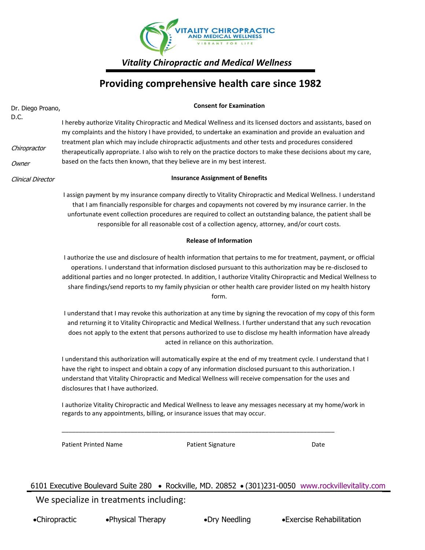

*Vitality Chiropractic and Medical Wellness* 

# **Providing comprehensive health care since 1982**

| Dr. Diego Proano, |                                                                                                                                                                                                                                                                                                                                                                                                                                                                              | <b>Consent for Examination</b>                                                                                                                                                                                                                                                                                                                                                                                                         |      |  |  |
|-------------------|------------------------------------------------------------------------------------------------------------------------------------------------------------------------------------------------------------------------------------------------------------------------------------------------------------------------------------------------------------------------------------------------------------------------------------------------------------------------------|----------------------------------------------------------------------------------------------------------------------------------------------------------------------------------------------------------------------------------------------------------------------------------------------------------------------------------------------------------------------------------------------------------------------------------------|------|--|--|
| D.C.              |                                                                                                                                                                                                                                                                                                                                                                                                                                                                              | I hereby authorize Vitality Chiropractic and Medical Wellness and its licensed doctors and assistants, based on<br>my complaints and the history I have provided, to undertake an examination and provide an evaluation and                                                                                                                                                                                                            |      |  |  |
| Chiropractor      |                                                                                                                                                                                                                                                                                                                                                                                                                                                                              | treatment plan which may include chiropractic adjustments and other tests and procedures considered<br>therapeutically appropriate. I also wish to rely on the practice doctors to make these decisions about my care,                                                                                                                                                                                                                 |      |  |  |
| Owner             |                                                                                                                                                                                                                                                                                                                                                                                                                                                                              | based on the facts then known, that they believe are in my best interest.                                                                                                                                                                                                                                                                                                                                                              |      |  |  |
| Clinical Director | <b>Insurance Assignment of Benefits</b>                                                                                                                                                                                                                                                                                                                                                                                                                                      |                                                                                                                                                                                                                                                                                                                                                                                                                                        |      |  |  |
|                   |                                                                                                                                                                                                                                                                                                                                                                                                                                                                              | I assign payment by my insurance company directly to Vitality Chiropractic and Medical Wellness. I understand<br>that I am financially responsible for charges and copayments not covered by my insurance carrier. In the<br>unfortunate event collection procedures are required to collect an outstanding balance, the patient shall be<br>responsible for all reasonable cost of a collection agency, attorney, and/or court costs. |      |  |  |
|                   |                                                                                                                                                                                                                                                                                                                                                                                                                                                                              | <b>Release of Information</b>                                                                                                                                                                                                                                                                                                                                                                                                          |      |  |  |
|                   | I authorize the use and disclosure of health information that pertains to me for treatment, payment, or official<br>operations. I understand that information disclosed pursuant to this authorization may be re-disclosed to<br>additional parties and no longer protected. In addition, I authorize Vitality Chiropractic and Medical Wellness to<br>share findings/send reports to my family physician or other health care provider listed on my health history<br>form. |                                                                                                                                                                                                                                                                                                                                                                                                                                        |      |  |  |
|                   | I understand that I may revoke this authorization at any time by signing the revocation of my copy of this form<br>and returning it to Vitality Chiropractic and Medical Wellness. I further understand that any such revocation<br>does not apply to the extent that persons authorized to use to disclose my health information have already<br>acted in reliance on this authorization.                                                                                   |                                                                                                                                                                                                                                                                                                                                                                                                                                        |      |  |  |
|                   | I understand this authorization will automatically expire at the end of my treatment cycle. I understand that I<br>have the right to inspect and obtain a copy of any information disclosed pursuant to this authorization. I<br>understand that Vitality Chiropractic and Medical Wellness will receive compensation for the uses and<br>disclosures that I have authorized.                                                                                                |                                                                                                                                                                                                                                                                                                                                                                                                                                        |      |  |  |
|                   |                                                                                                                                                                                                                                                                                                                                                                                                                                                                              | I authorize Vitality Chiropractic and Medical Wellness to leave any messages necessary at my home/work in<br>regards to any appointments, billing, or insurance issues that may occur.                                                                                                                                                                                                                                                 |      |  |  |
|                   | <b>Patient Printed Name</b>                                                                                                                                                                                                                                                                                                                                                                                                                                                  | <b>Patient Signature</b>                                                                                                                                                                                                                                                                                                                                                                                                               | Date |  |  |
|                   |                                                                                                                                                                                                                                                                                                                                                                                                                                                                              |                                                                                                                                                                                                                                                                                                                                                                                                                                        |      |  |  |

6101 Executive Boulevard Suite 280 • Rockville, MD. 20852 • (301)231-0050 www.rockvillevitality.com We specialize in treatments including: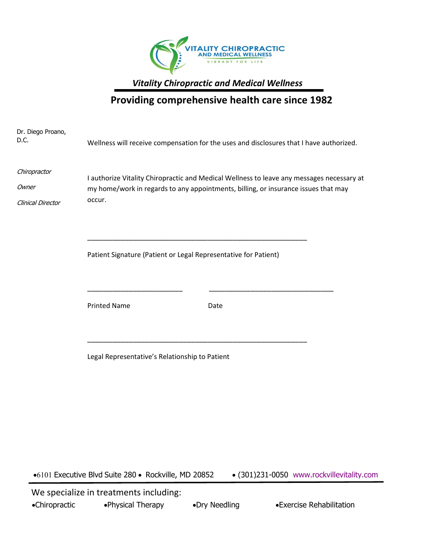

*Vitality Chiropractic and Medical Wellness* 

## **Providing comprehensive health care since 1982**

| Dr. Diego Proano,<br>D.C.                  |                                                                                                                                                                                           | Wellness will receive compensation for the uses and disclosures that I have authorized. |  |  |  |
|--------------------------------------------|-------------------------------------------------------------------------------------------------------------------------------------------------------------------------------------------|-----------------------------------------------------------------------------------------|--|--|--|
| Chiropractor<br>Owner<br>Clinical Director | I authorize Vitality Chiropractic and Medical Wellness to leave any messages necessary at<br>my home/work in regards to any appointments, billing, or insurance issues that may<br>occur. |                                                                                         |  |  |  |
|                                            | Patient Signature (Patient or Legal Representative for Patient)                                                                                                                           |                                                                                         |  |  |  |
|                                            | <b>Printed Name</b>                                                                                                                                                                       | Date                                                                                    |  |  |  |
|                                            | Legal Representative's Relationship to Patient                                                                                                                                            |                                                                                         |  |  |  |

• (301)231-0050 www.rockvillevitality.com • Executive Blvd Suite 280 • Rockville, MD 20852

 We specialize in treatments including: 20852